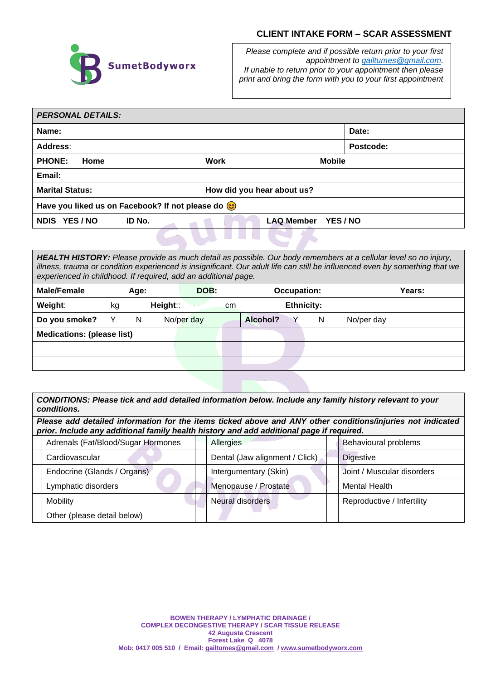## **CLIENT INTAKE FORM – SCAR ASSESSMENT**



*Please complete and if possible return prior to your first appointment to [gailtumes@gmail.com.](mailto:gailtumes@gmail.com) If unable to return prior to your appointment then please print and bring the form with you to your first appointment*

| <b>PERSONAL DETAILS:</b>                             |                                                                |                     |           |  |  |
|------------------------------------------------------|----------------------------------------------------------------|---------------------|-----------|--|--|
| Name:                                                |                                                                |                     | Date:     |  |  |
| <b>Address:</b>                                      |                                                                |                     | Postcode: |  |  |
| <b>PHONE:</b><br>Home                                | Work                                                           | <b>Mobile</b>       |           |  |  |
| Email:                                               |                                                                |                     |           |  |  |
| <b>Marital Status:</b><br>How did you hear about us? |                                                                |                     |           |  |  |
|                                                      | Have you liked us on Facebook? If not please do $\circledcirc$ |                     |           |  |  |
| NDIS YES/NO                                          | ID No.                                                         | LAQ Member YES / NO |           |  |  |
|                                                      |                                                                |                     |           |  |  |

*HEALTH HISTORY: Please provide as much detail as possible. Our body remembers at a cellular level so no injury, illness, trauma or condition experienced is insignificant. Our adult life can still be influenced even by something that we experienced in childhood. If required, add an additional page.* 

| <b>Male/Female</b>                |    | Age: |          | DOB:       |               |          | <b>Occupation:</b> |            | Years: |  |
|-----------------------------------|----|------|----------|------------|---------------|----------|--------------------|------------|--------|--|
| Weight:                           | kg |      | Height:: |            | <sub>cm</sub> |          | <b>Ethnicity:</b>  |            |        |  |
| Do you smoke?                     |    | N    |          | No/per day |               | Alcohol? | N                  | No/per day |        |  |
| <b>Medications: (please list)</b> |    |      |          |            |               |          |                    |            |        |  |
|                                   |    |      |          |            |               |          |                    |            |        |  |
|                                   |    |      |          |            |               |          |                    |            |        |  |

*CONDITIONS: Please tick and add detailed information below. Include any family history relevant to your conditions.* 

*Please add detailed information for the items ticked above and ANY other conditions/injuries not indicated prior. Include any additional family health history and add additional page if required.*

| Adrenals (Fat/Blood/Sugar Hormones |  | Allergies                      | Behavioural problems       |
|------------------------------------|--|--------------------------------|----------------------------|
| Cardiovascular                     |  | Dental (Jaw alignment / Click) | <b>Digestive</b>           |
| Endocrine (Glands / Organs)        |  | Intergumentary (Skin)          | Joint / Muscular disorders |
| Lymphatic disorders                |  | Menopause / Prostate           | <b>Mental Health</b>       |
| Mobility                           |  | <b>Neural disorders</b>        | Reproductive / Infertility |
| Other (please detail below)        |  |                                |                            |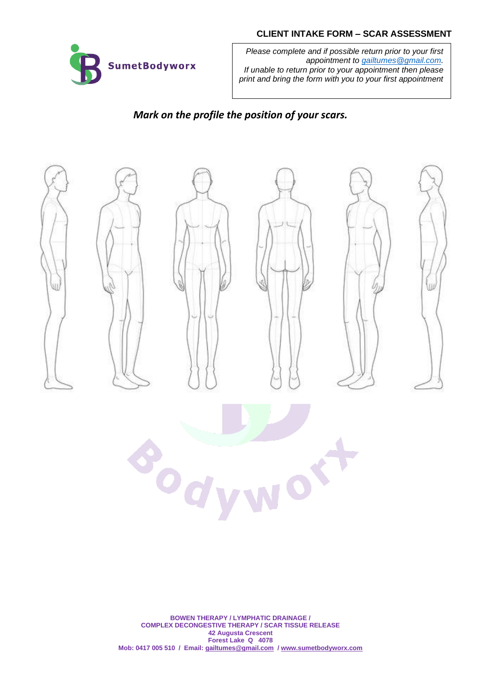## **CLIENT INTAKE FORM – SCAR ASSESSMENT**



*Please complete and if possible return prior to your first appointment to [gailtumes@gmail.com.](mailto:gailtumes@gmail.com) If unable to return prior to your appointment then please print and bring the form with you to your first appointment*

*Mark on the profile the position of your scars.* 



**BOWEN THERAPY / LYMPHATIC DRAINAGE / COMPLEX DECONGESTIVE THERAPY / SCAR TISSUE RELEASE 42 Augusta Crescent Forest Lake Q 4078 Mob: 0417 005 510 / Email[: gailtumes@gmail.com](mailto:gailtumes@gmail.com) / [www.sumetbodyworx.com](http://www.sumetbodyworx.com/)**